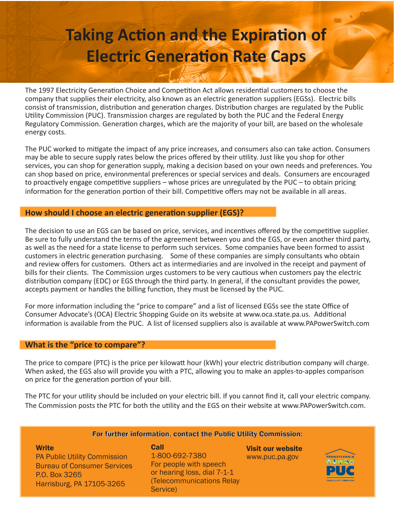# **Taking Action and the Expiration of Electric Generation Rate Caps**

The 1997 Electricity Generation Choice and Competition Act allows residential customers to choose the company that supplies their electricity, also known as an electric generation suppliers (EGSs). Electric bills consist of transmission, distribution and generation charges. Distribution charges are regulated by the Public Utility Commission (PUC). Transmission charges are regulated by both the PUC and the Federal Energy Regulatory Commission. Generation charges, which are the majority of your bill, are based on the wholesale energy costs.

The PUC worked to mitigate the impact of any price increases, and consumers also can take action. Consumers may be able to secure supply rates below the prices offered by their utility. Just like you shop for other services, you can shop for generation supply, making a decision based on your own needs and preferences. You can shop based on price, environmental preferences or special services and deals. Consumers are encouraged to proactively engage competitive suppliers – whose prices are unregulated by the PUC – to obtain pricing information for the generation portion of their bill. Competitive offers may not be available in all areas.

#### **How should I choose an electric generation supplier (EGS)?**

The decision to use an EGS can be based on price, services, and incentives offered by the competitive supplier. Be sure to fully understand the terms of the agreement between you and the EGS, or even another third party, as well as the need for a state license to perform such services. Some companies have been formed to assist customers in electric generation purchasing. Some of these companies are simply consultants who obtain and review offers for customers. Others act as intermediaries and are involved in the receipt and payment of bills for their clients. The Commission urges customers to be very cautious when customers pay the electric distribution company (EDC) or EGS through the third party. In general, if the consultant provides the power, accepts payment or handles the billing function, they must be licensed by the PUC.

For more information including the "price to compare" and a list of licensed EGSs see the state Office of Consumer Advocate's (OCA) Electric Shopping Guide on its website at www.oca.state.pa.us. Additional information is available from the PUC. A list of licensed suppliers also is available at www.PAPowerSwitch.com

#### **What is the "price to compare"?**

The price to compare (PTC) is the price per kilowatt hour (kWh) your electric distribution company will charge. When asked, the EGS also will provide you with a PTC, allowing you to make an apples-to-apples comparison on price for the generation portion of your bill.

The PTC for your utility should be included on your electric bill. If you cannot find it, call your electric company. The Commission posts the PTC for both the utility and the EGS on their website at www.PAPowerSwitch.com.

#### For further information, contact the Public Utility Commission:

**Write** PA Public Utility Commission Bureau of Consumer Services P.O. Box 3265 Harrisburg, PA 17105-3265

Call 1-800-692-7380 For people with speech or hearing loss, dial 7-1-1 (Telecommunications Relay Service)

Visit our website www.puc.pa.gov